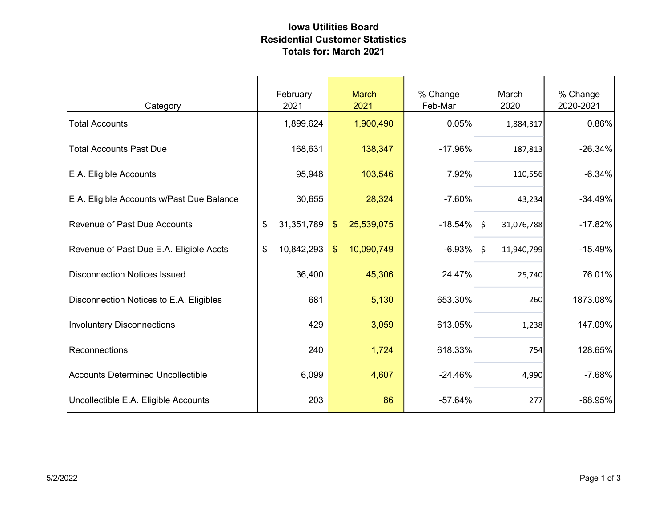## Iowa Utilities Board Residential Customer Statistics Totals for: March 2021

| Category                                  | February<br>2021 | <b>March</b><br>2021        | % Change<br>Feb-Mar | March<br>2020         | % Change<br>2020-2021 |
|-------------------------------------------|------------------|-----------------------------|---------------------|-----------------------|-----------------------|
| <b>Total Accounts</b>                     | 1,899,624        | 1,900,490                   | 0.05%               | 1,884,317             | 0.86%                 |
| <b>Total Accounts Past Due</b>            | 168,631          | 138,347                     | $-17.96%$           | 187,813               | $-26.34%$             |
| E.A. Eligible Accounts                    | 95,948           | 103,546                     | 7.92%               | 110,556               | $-6.34%$              |
| E.A. Eligible Accounts w/Past Due Balance | 30,655           | 28,324                      | $-7.60%$            | 43,234                | $-34.49%$             |
| <b>Revenue of Past Due Accounts</b>       | \$<br>31,351,789 | 25,539,075<br>$\sqrt[6]{3}$ | $-18.54%$           | $\zeta$<br>31,076,788 | $-17.82%$             |
| Revenue of Past Due E.A. Eligible Accts   | \$<br>10,842,293 | 10,090,749<br>$\sqrt[6]{3}$ | $-6.93%$            | \$<br>11,940,799      | $-15.49%$             |
| <b>Disconnection Notices Issued</b>       | 36,400           | 45,306                      | 24.47%              | 25,740                | 76.01%                |
| Disconnection Notices to E.A. Eligibles   | 681              | 5,130                       | 653.30%             | 260                   | 1873.08%              |
| <b>Involuntary Disconnections</b>         | 429              | 3,059                       | 613.05%             | 1,238                 | 147.09%               |
| Reconnections                             | 240              | 1,724                       | 618.33%             | 754                   | 128.65%               |
| <b>Accounts Determined Uncollectible</b>  | 6,099            | 4,607                       | $-24.46%$           | 4,990                 | $-7.68%$              |
| Uncollectible E.A. Eligible Accounts      | 203              | 86                          | $-57.64%$           | 277                   | $-68.95%$             |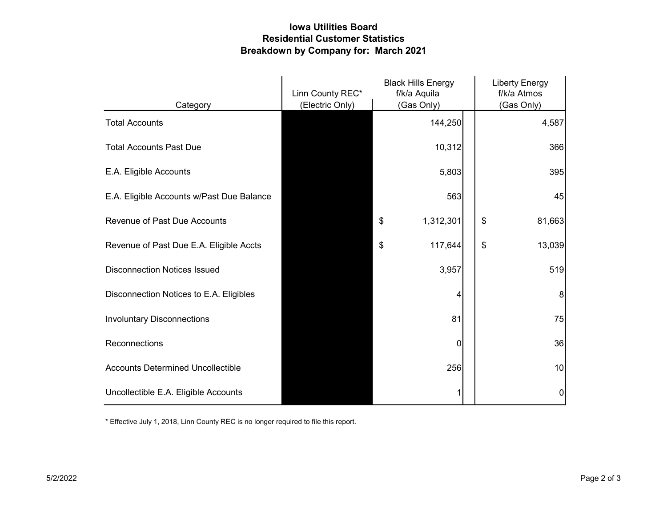## Iowa Utilities Board Residential Customer Statistics Breakdown by Company for: March 2021

|                                           | <b>Black Hills Energy</b><br>Linn County REC*<br>f/k/a Aquila |                 | <b>Liberty Energy</b><br>f/k/a Atmos |              |
|-------------------------------------------|---------------------------------------------------------------|-----------------|--------------------------------------|--------------|
| Category                                  | (Electric Only)                                               | (Gas Only)      |                                      | (Gas Only)   |
| <b>Total Accounts</b>                     |                                                               | 144,250         |                                      | 4,587        |
| <b>Total Accounts Past Due</b>            |                                                               | 10,312          |                                      | 366          |
| E.A. Eligible Accounts                    |                                                               | 5,803           |                                      | 395          |
| E.A. Eligible Accounts w/Past Due Balance |                                                               | 563             |                                      | 45           |
| <b>Revenue of Past Due Accounts</b>       |                                                               | 1,312,301<br>\$ |                                      | \$<br>81,663 |
| Revenue of Past Due E.A. Eligible Accts   |                                                               | 117,644<br>\$   |                                      | \$<br>13,039 |
| <b>Disconnection Notices Issued</b>       |                                                               | 3,957           |                                      | 519          |
| Disconnection Notices to E.A. Eligibles   |                                                               | 4               |                                      | 8            |
| <b>Involuntary Disconnections</b>         |                                                               | 81              |                                      | 75           |
| Reconnections                             |                                                               | 0               |                                      | 36           |
| <b>Accounts Determined Uncollectible</b>  |                                                               | 256             |                                      | 10           |
| Uncollectible E.A. Eligible Accounts      |                                                               |                 |                                      | 0            |

\* Effective July 1, 2018, Linn County REC is no longer required to file this report.